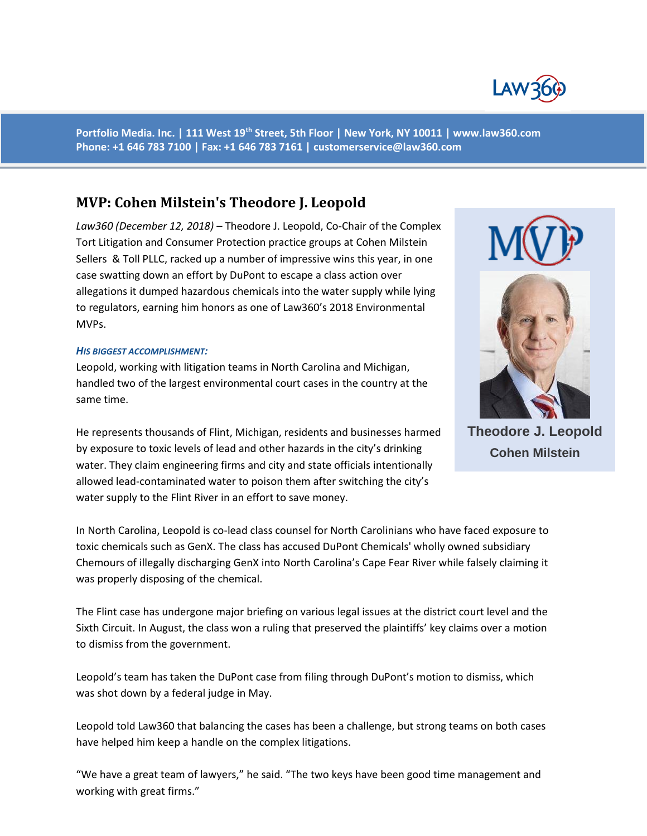

**Portfolio Media. Inc. | 111 West 19th Street, 5th Floor | New York, NY 10011 | www.law360.com Phone: +1 646 783 7100 | Fax: +1 646 783 7161 | customerservice@law360.com**

# **MVP: Cohen Milstein's Theodore J. Leopold**

*Law360 (December 12, 2018)* – Theodore J. Leopold, Co-Chair of the Complex Tort Litigation and Consumer Protection practice groups at Cohen Milstein Sellers & Toll PLLC, racked up a number of impressive wins this year, in one case swatting down an effort by DuPont to escape a class action over allegations it dumped hazardous chemicals into the water supply while lying to regulators, earning him honors as one of Law360's 2018 Environmental MVPs.

## *HIS BIGGEST ACCOMPLISHMENT:*

Leopold, working with litigation teams in North Carolina and Michigan, handled two of the largest environmental court cases in the country at the same time.

He represents thousands of Flint, Michigan, residents and businesses harmed by exposure to toxic levels of lead and other hazards in the city's drinking water. They claim engineering firms and city and state officials intentionally allowed lead-contaminated water to poison them after switching the city's water supply to the Flint River in an effort to save money.

In North Carolina, Leopold is co-lead class counsel for North Carolinians who have faced exposure to toxic chemicals such as GenX. The class has accused DuPont Chemicals' wholly owned subsidiary Chemours of illegally discharging GenX into North Carolina's Cape Fear River while falsely claiming it was properly disposing of the chemical.

The Flint case has undergone major briefing on various legal issues at the district court level and the Sixth Circuit. In August, the class won a ruling that preserved the plaintiffs' key claims over a motion to dismiss from the government.

Leopold's team has taken the DuPont case from filing through DuPont's motion to dismiss, which was shot down by a federal judge in May.

Leopold told Law360 that balancing the cases has been a challenge, but strong teams on both cases have helped him keep a handle on the complex litigations.

"We have a great team of lawyers," he said. "The two keys have been good time management and working with great firms."



**Theodore J. Leopold Cohen Milstein**